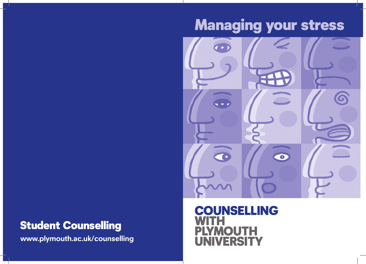# Managing your stress



### Student Counselling

**www.plymouth.ac.uk/counselling**

### COUNSELLING WITH **PLITH ERSITY**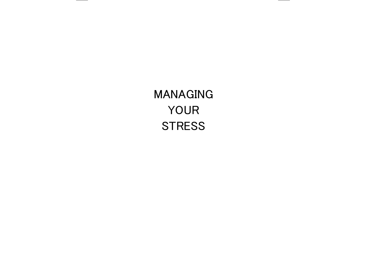## MANAGING YOUR **STRESS**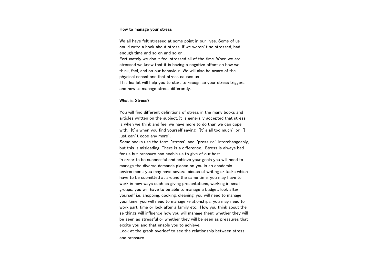#### How to manage your stress

We all have felt stressed at some point in our lives. Some of us could write a book about stress, if we weren't so stressed, had enough time and so on and so on...

Fortunately we don't feel stressed all of the time. When we are stressed we know that it is having a negative effect on how we think, feel, and on our behaviour. We will also be aware of the physical sensations that stress causes us.

This leaflet will help you to start to recognise your stress triggers and how to manage stress differently.

#### What is Stress?

You will find different definitions of stress in the many books and articles written on the subject. It is generally accepted that stress is when we think and feel we have more to do than we can cope with. It's when you find yourself saying. 'It's all too much' or. 'I just can't cope any more'.

Some books use the term 'stress' and 'pressure' interchangeably, but this is misleading. There is a difference. Stress is always bad for us but pressure can enable us to give of our best.

In order to be successful and achieve your goals you will need to manage the diverse demands placed on you in an academic environment: you may have several pieces of writing or tasks which have to be submitted at around the same time; you may have to work in new ways such as giving presentations, working in small groups; you will have to be able to manage a budget, look after yourself i.e. shopping, cooking, cleaning; you will need to manage your time; you will need to manage relationships; you may need to work part-time or look after a family etc. How you think about these things will influence how you will manage them: whether they will be seen as stressful or whether they will be seen as pressures that excite you and that enable you to achieve.

Look at the graph overleaf to see the relationship between stress and pressure.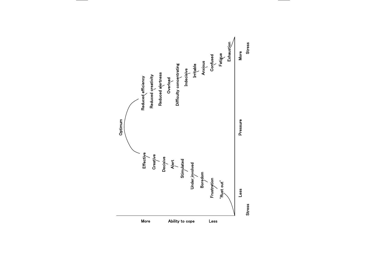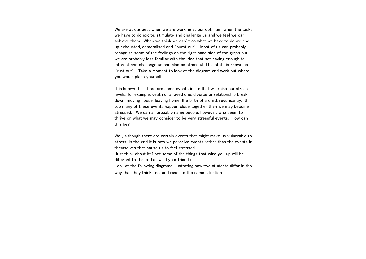We are at our best when we are working at our optimum, when the tasks we have to do excite, stimulate and challenge us and we feel we can achieve them. When we think we can't do what we have to do we end up exhausted, demoralised and 'burnt out'. Most of us can probably recognise some of the feelings on the right hand side of the graph but we are probably less familiar with the idea that not having enough to interest and challenge us can also be stressful. This state is known as 'rust out'. Take a moment to look at the diagram and work out where you would place yourself.

It is known that there are some events in life that will raise our stress levels, for example, death of a loved one, divorce or relationship break down, moving house, leaving home, the birth of a child, redundancy. If too many of these events happen close together then we may become stressed. We can all probably name people, however, who seem to thrive on what we may consider to be very stressful events. How can this be?

Well, although there are certain events that might make us vulnerable to stress, in the end it is how we perceive events rather than the events in themselves that cause us to feel stressed.

Just think about it: I bet some of the things that wind you up will be different to those that wind your friend up ...

Look at the following diagrams illustrating how two students differ in the way that they think, feel and react to the same situation.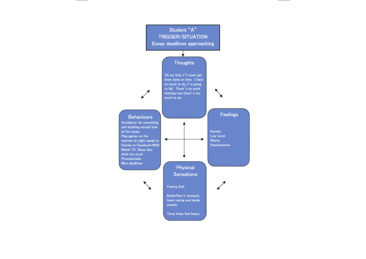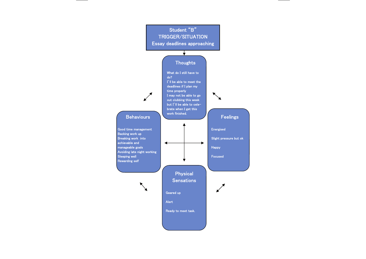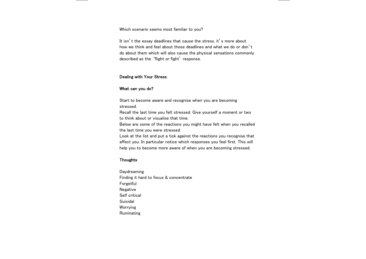Which scenario seems most familiar to you?

It isn't the essay deadlines that cause the stress, it's more about how we think and feel about those deadlines and what we do or don't do about them which will also cause the physical sensations commonly described as the 'flight or fight' response.

#### Dealing with Your Stress.

#### What can you do?

Start to become aware and recognise when you are becoming stressed.

Recall the last time you felt stressed. Give yourself a moment or two to think about or visualise that time.

Below are some of the reactions you might have felt when you recalled the last time you were stressed.

Look at the list and put a tick against the reactions you recognise that affect you. In particular notice which responses you feel first. This will help you to become more aware of when you are becoming stressed.

#### Thoughts

Daydreaming Finding it hard to focus & concentrate Forgetful Negative Self critical Suicidal Worrying Ruminating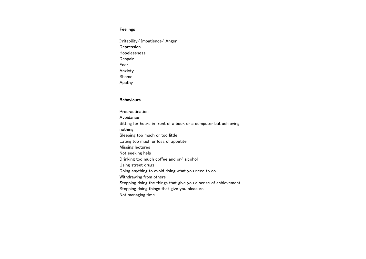#### Feelings

Irritability/ Impatience/ Anger **Depression** Hopelessness **Despair** Fear Anxiety Shame Apathy

#### **Behaviours**

Procrastination Avoidance Sitting for hours in front of a book or a computer but achieving nothing Sleeping too much or too little Eating too much or loss of appetite Missing lectures Not seeking help Drinking too much coffee and or/ alcohol Using street drugs Doing anything to avoid doing what you need to do Withdrawing from others Stopping doing the things that give you a sense of achievement Stopping doing things that give you pleasure Not managing time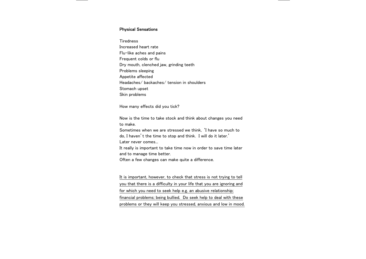#### Physical Sensations

**Tiredness** Increased heart rate Flu-like aches and pains Frequent colds or flu Dry mouth, clenched jaw, grinding teeth Problems sleeping Appetite affected Headaches/ backaches/ tension in shoulders Stomach upset Skin problems

How many effects did you tick?

Now is the time to take stock and think about changes you need to make.

Sometimes when we are stressed we think, 'I have so much to do, I haven't the time to stop and think. I will do it later.' Later never comes...

It really is important to take time now in order to save time later and to manage time better.

Often a few changes can make quite a difference.

It is important, however, to check that stress is not trying to tell you that there is a difficulty in your life that you are ignoring and for which you need to seek help e.g. an abusive relationship; financial problems; being bullied. Do seek help to deal with these problems or they will keep you stressed, anxious and low in mood.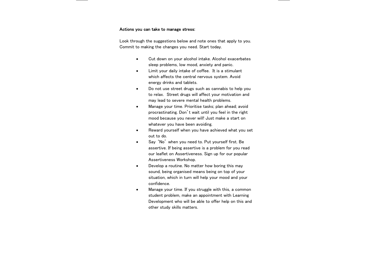#### Actions you can take to manage stress:

Look through the suggestions below and note ones that apply to you. Commit to making the changes you need. Start today.

- $\bullet$  Cut down on your alcohol intake. Alcohol exacerbates sleep problems, low mood, anxiety and panic.
- $\bullet$  Limit your daily intake of coffee. It is a stimulant which affects the central nervous system. Avoid energy drinks and tablets.
- $\bullet$  Do not use street drugs such as cannabis to help you to relax. Street drugs will affect your motivation and may lead to severe mental health problems.
- $\bullet$  Manage your time. Prioritise tasks; plan ahead; avoid procrastinating. Don't wait until you feel in the right mood because you never will! Just make a start on whatever you have been avoiding.
- $\bullet$  Reward yourself when you have achieved what you set out to do.
- $\bullet$  Say 'No' when you need to. Put yourself first. Be assertive. If being assertive is a problem for you read our leaflet on Assertiveness. Sign up for our popular Assertiveness Workshop.
- $\bullet$  Develop a routine. No matter how boring this may sound, being organised means being on top of your situation, which in turn will help your mood and your confidence.
- $\bullet$  Manage your time. If you struggle with this, a common student problem, make an appointment with Learning Development who will be able to offer help on this and other study skills matters.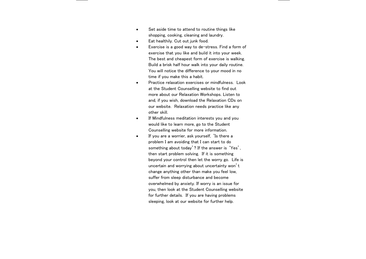- $\bullet$  Set aside time to attend to routine things like shopping, cooking, cleaning and laundry.
- $\bullet$ Eat healthily. Cut out junk food.
- $\blacksquare$  Exercise is a good way to de-stress. Find a form of exercise that you like and build it into your week. The best and cheapest form of exercise is walking. Build a brisk half hour walk into your daily routine. You will notice the difference to your mood in no time if you make this a habit.
- $\bullet$  Practice relaxation exercises or mindfulness. Look at the Student Counselling website to find out more about our Relaxation Workshops. Listen to and, if you wish, download the Relaxation CDs on our website. Relaxation needs practice like any other skill.
- $\bullet$  If Mindfulness meditation interests you and you would like to learn more, go to the Student Counselling website for more information.
- $\bullet$  If you are a worrier, ask yourself, 'Is there a problem I am avoiding that I can start to do something about today'? If the answer is 'Yes', then start problem solving. If it is something beyond your control then let the worry go. Life is uncertain and worrying about uncertainty won't change anything other than make you feel low, suffer from sleep disturbance and become overwhelmed by anxiety. If worry is an issue for you, then look at the Student Counselling website for further details. If you are having problems sleeping, look at our website for further help.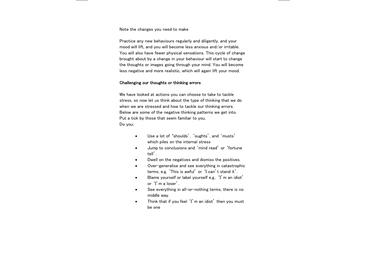#### Note the changes you need to make

Practice any new behaviours regularly and diligently, and your mood will lift, and you will become less anxious and/or irritable. You will also have fewer physical sensations. This cycle of change brought about by a change in your behaviour will start to change the thoughts or images going through your mind. You will become less negative and more realistic, which will again lift your mood.

#### Challenging our thoughts or thinking errors

We have looked at actions you can choose to take to tackle stress, so now let us think about the type of thinking that we do when we are stressed and how to tackle our thinking errors. Below are some of the negative thinking patterns we get into. Put a tick by those that seem familiar to you. Do you:

- $\bullet$  Use a lot of 'shoulds', 'oughts', and 'musts' which piles on the internal stress
- $\bullet$  Jump to conclusions and 'mind read' or 'fortune tell'.
- $\bullet$ Dwell on the negatives and dismiss the positives.
- $\bullet$  Over-generalise and see everything in catastrophic terms, e.g. 'This is awful' or 'I can't stand it'.
- $\bullet$  Blame yourself or label yourself e.g.. 'I'm an idiot' or 'I'm a loser'.
- $\bullet$  See everything in all-or-nothing terms, there is no middle way.
- $\bullet$  Think that if you feel 'I'm an idiot' then you must be one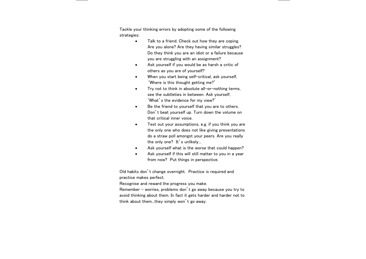Tackle your thinking errors by adopting some of the following strategies:

- $\bullet$  Talk to a friend. Check out how they are coping. Are you alone? Are they having similar struggles? Do they think you are an idiot or a failure because you are struggling with an assignment?
- $\bullet$  Ask yourself if you would be as harsh a critic of others as you are of yourself?
- $\bullet$ When you start being self-critical, ask yourself. 'Where is this thought getting me?'
- $\bullet$  Try not to think in absolute all-or-nothing terms, see the subtleties in between. Ask yourself, 'What's the evidence for my view?'
- $\bullet$  Be the friend to yourself that you are to others. Don't beat yourself up. Turn down the volume on that critical inner voice.
- $\bullet$  Test out your assumptions, e.g. if you think you are the only one who does not like giving presentations do a straw poll amongst your peers. Are you really the only one? It's unlikely...
- $\bullet$ Ask yourself what is the worse that could happen?
- $\bullet$  Ask yourself if this will still matter to you in a year from now? Put things in perspective.

Old habits don't change overnight. Practice is required and practice makes perfect.

Recognise and reward the progress you make.

Remember – worries, problems don't go away because you try to avoid thinking about them. In fact it gets harder and harder not to think about them...they simply won't go away.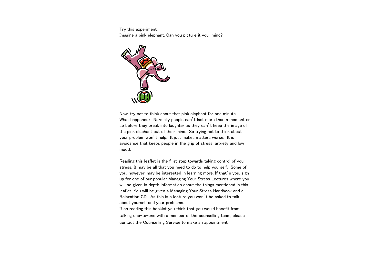Try this experiment.

Imagine a pink elephant. Can you picture it your mind?



Now, try not to think about that pink elephant for one minute. What happened? Normally people can't last more than a moment or so before they break into laughter as they can't keep the image of the pink elephant out of their mind. So trying not to think about your problem won't help. It just makes matters worse. It is avoidance that keeps people in the grip of stress, anxiety and low mood.

Reading this leaflet is the first step towards taking control of your stress. It may be all that you need to do to help yourself. Some of you, however, may be interested in learning more. If that's you, sign up for one of our popular Managing Your Stress Lectures where you will be given in depth information about the things mentioned in this leaflet. You will be given a Managing Your Stress Handbook and a Relaxation CD. As this is a lecture you won't be asked to talk about yourself and your problems.

If on reading this booklet you think that you would benefit from talking one-to-one with a member of the counselling team, please contact the Counselling Service to make an appointment.